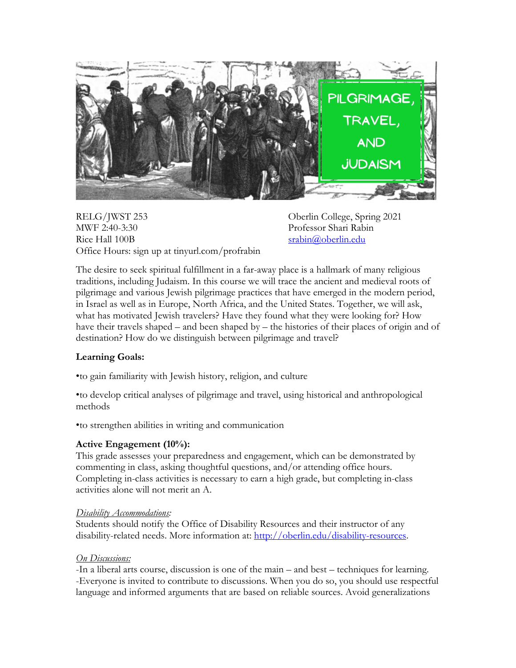

RELG/JWST 253 Oberlin College, Spring 2021 MWF 2:40-3:30 Professor Shari Rabin Rice Hall 100B srabin@oberlin.edu Office Hours: sign up at tinyurl.com/profrabin

The desire to seek spiritual fulfillment in a far-away place is a hallmark of many religious traditions, including Judaism. In this course we will trace the ancient and medieval roots of pilgrimage and various Jewish pilgrimage practices that have emerged in the modern period, in Israel as well as in Europe, North Africa, and the United States. Together, we will ask, what has motivated Jewish travelers? Have they found what they were looking for? How have their travels shaped – and been shaped by – the histories of their places of origin and of destination? How do we distinguish between pilgrimage and travel?

# **Learning Goals:**

•to gain familiarity with Jewish history, religion, and culture

•to develop critical analyses of pilgrimage and travel, using historical and anthropological methods

•to strengthen abilities in writing and communication

#### **Active Engagement (10%):**

This grade assesses your preparedness and engagement, which can be demonstrated by commenting in class, asking thoughtful questions, and/or attending office hours. Completing in-class activities is necessary to earn a high grade, but completing in-class activities alone will not merit an A.

#### *Disability Accommodations:*

Students should notify the Office of Disability Resources and their instructor of any disability-related needs. More information at: http://oberlin.edu/disability-resources.

#### *On Discussions:*

-In a liberal arts course, discussion is one of the main – and best – techniques for learning. -Everyone is invited to contribute to discussions. When you do so, you should use respectful language and informed arguments that are based on reliable sources. Avoid generalizations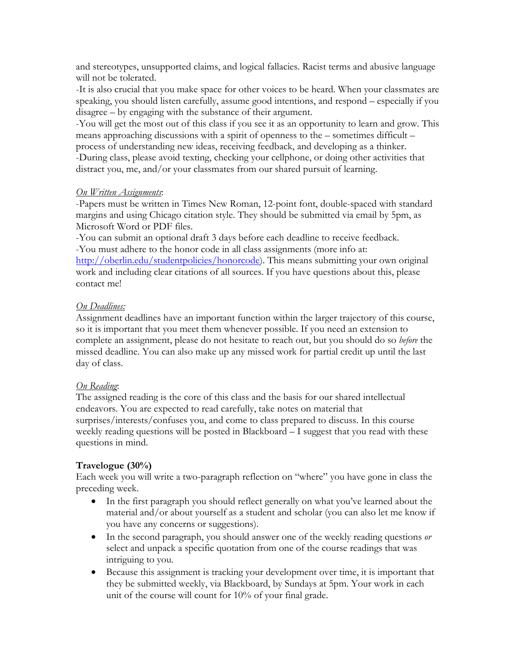and stereotypes, unsupported claims, and logical fallacies. Racist terms and abusive language will not be tolerated.

-It is also crucial that you make space for other voices to be heard. When your classmates are speaking, you should listen carefully, assume good intentions, and respond – especially if you disagree – by engaging with the substance of their argument.

-You will get the most out of this class if you see it as an opportunity to learn and grow. This means approaching discussions with a spirit of openness to the – sometimes difficult – process of understanding new ideas, receiving feedback, and developing as a thinker. -During class, please avoid texting, checking your cellphone, or doing other activities that distract you, me, and/or your classmates from our shared pursuit of learning.

### *On Written Assignments*:

-Papers must be written in Times New Roman, 12-point font, double-spaced with standard margins and using Chicago citation style. They should be submitted via email by 5pm, as Microsoft Word or PDF files.

-You can submit an optional draft 3 days before each deadline to receive feedback. -You must adhere to the honor code in all class assignments (more info at: http://oberlin.edu/studentpolicies/honorcode). This means submitting your own original work and including clear citations of all sources. If you have questions about this, please contact me!

# *On Deadlines:*

Assignment deadlines have an important function within the larger trajectory of this course, so it is important that you meet them whenever possible. If you need an extension to complete an assignment, please do not hesitate to reach out, but you should do so *before* the missed deadline. You can also make up any missed work for partial credit up until the last day of class.

# *On Reading*:

The assigned reading is the core of this class and the basis for our shared intellectual endeavors. You are expected to read carefully, take notes on material that surprises/interests/confuses you, and come to class prepared to discuss. In this course weekly reading questions will be posted in Blackboard – I suggest that you read with these questions in mind.

# **Travelogue (30%)**

Each week you will write a two-paragraph reflection on "where" you have gone in class the preceding week.

- In the first paragraph you should reflect generally on what you've learned about the material and/or about yourself as a student and scholar (you can also let me know if you have any concerns or suggestions).
- In the second paragraph, you should answer one of the weekly reading questions *or* select and unpack a specific quotation from one of the course readings that was intriguing to you.
- Because this assignment is tracking your development over time, it is important that they be submitted weekly, via Blackboard, by Sundays at 5pm. Your work in each unit of the course will count for 10% of your final grade.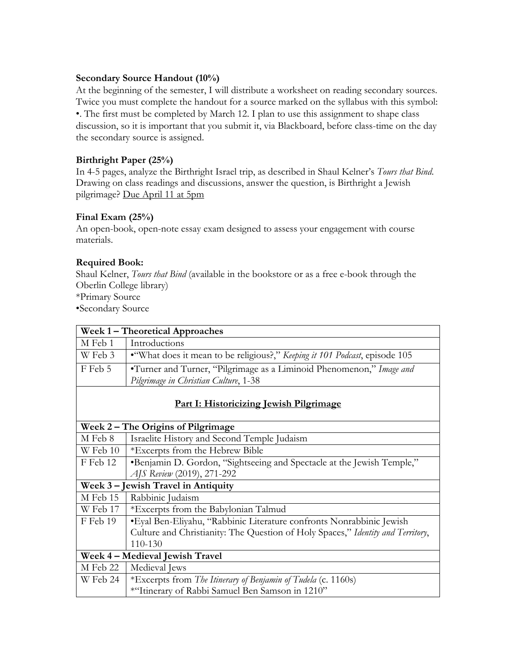### **Secondary Source Handout (10%)**

At the beginning of the semester, I will distribute a worksheet on reading secondary sources. Twice you must complete the handout for a source marked on the syllabus with this symbol: •. The first must be completed by March 12. I plan to use this assignment to shape class discussion, so it is important that you submit it, via Blackboard, before class-time on the day the secondary source is assigned.

### **Birthright Paper (25%)**

In 4-5 pages, analyze the Birthright Israel trip, as described in Shaul Kelner's *Tours that Bind*. Drawing on class readings and discussions, answer the question, is Birthright a Jewish pilgrimage? Due April 11 at 5pm

#### **Final Exam (25%)**

An open-book, open-note essay exam designed to assess your engagement with course materials.

#### **Required Book:**

Shaul Kelner, *Tours that Bind* (available in the bookstore or as a free e-book through the Oberlin College library) \*Primary Source

•Secondary Source

| <b>Week 1- Theoretical Approaches</b>          |                                                                                 |  |
|------------------------------------------------|---------------------------------------------------------------------------------|--|
| M Feb 1                                        | Introductions                                                                   |  |
| W Feb 3                                        | • "What does it mean to be religious?," Keeping it 101 Podcast, episode 105     |  |
| F Feb 5                                        | •Turner and Turner, "Pilgrimage as a Liminoid Phenomenon," Image and            |  |
|                                                | Pilgrimage in Christian Culture, 1-38                                           |  |
| <u>Part I: Historicizing Jewish Pilgrimage</u> |                                                                                 |  |
| Week 2 – The Origins of Pilgrimage             |                                                                                 |  |
| M Feb 8                                        | Israelite History and Second Temple Judaism                                     |  |
| W Feb 10                                       | *Excerpts from the Hebrew Bible                                                 |  |
| F Feb 12                                       | •Benjamin D. Gordon, "Sightseeing and Spectacle at the Jewish Temple,"          |  |
|                                                | AJS Review (2019), 271-292                                                      |  |
| Week 3 - Jewish Travel in Antiquity            |                                                                                 |  |
| M Feb 15                                       | Rabbinic Judaism                                                                |  |
| W Feb 17                                       | *Excerpts from the Babylonian Talmud                                            |  |
| F Feb 19                                       | • Eyal Ben-Eliyahu, "Rabbinic Literature confronts Nonrabbinic Jewish           |  |
|                                                | Culture and Christianity: The Question of Holy Spaces," Identity and Territory, |  |
|                                                | 110-130                                                                         |  |
| Week 4 - Medieval Jewish Travel                |                                                                                 |  |
| M Feb 22                                       | Medieval Jews                                                                   |  |
| W Feb 24                                       | *Excerpts from The Itinerary of Benjamin of Tudela (c. 1160s)                   |  |
|                                                | *"Itinerary of Rabbi Samuel Ben Samson in 1210"                                 |  |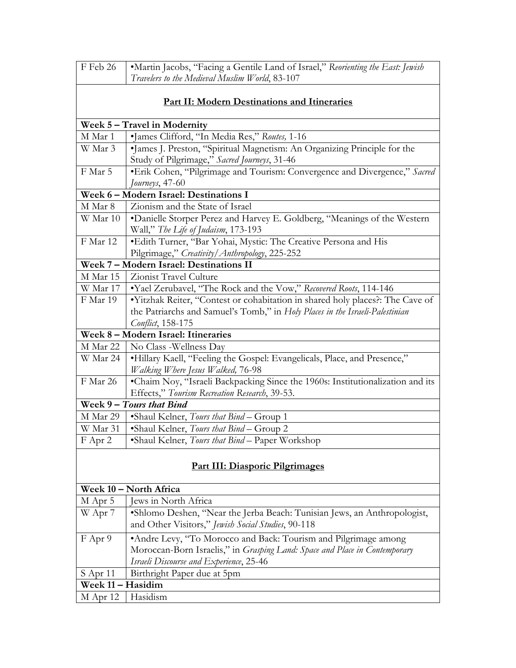| F Feb 26                                            | •Martin Jacobs, "Facing a Gentile Land of Israel," Reorienting the East: Jewish |  |  |
|-----------------------------------------------------|---------------------------------------------------------------------------------|--|--|
|                                                     | Travelers to the Medieval Muslim World, 83-107                                  |  |  |
|                                                     |                                                                                 |  |  |
| <b>Part II: Modern Destinations and Itineraries</b> |                                                                                 |  |  |
| Week 5 - Travel in Modernity                        |                                                                                 |  |  |
| M Mar 1                                             | ·James Clifford, "In Media Res," Routes, 1-16                                   |  |  |
| W Mar 3                                             | James J. Preston, "Spiritual Magnetism: An Organizing Principle for the         |  |  |
|                                                     | Study of Pilgrimage," Sacred Journeys, 31-46                                    |  |  |
| F Mar 5                                             | • Erik Cohen, "Pilgrimage and Tourism: Convergence and Divergence," Sacred      |  |  |
|                                                     | Journeys, 47-60                                                                 |  |  |
| Week 6 - Modern Israel: Destinations I              |                                                                                 |  |  |
| M Mar 8                                             | Zionism and the State of Israel                                                 |  |  |
| W Mar 10                                            | •Danielle Storper Perez and Harvey E. Goldberg, "Meanings of the Western        |  |  |
|                                                     | Wall," The Life of Judaism, 173-193                                             |  |  |
| F Mar 12                                            | ·Edith Turner, "Bar Yohai, Mystic: The Creative Persona and His                 |  |  |
|                                                     | Pilgrimage," Creativity/Anthropology, 225-252                                   |  |  |
|                                                     | Week 7 - Modern Israel: Destinations II                                         |  |  |
| M Mar 15                                            | Zionist Travel Culture                                                          |  |  |
| W Mar 17                                            | .Yael Zerubavel, "The Rock and the Vow," Recovered Roots, 114-146               |  |  |
| F Mar 19                                            | ·Yitzhak Reiter, "Contest or cohabitation in shared holy places?: The Cave of   |  |  |
|                                                     | the Patriarchs and Samuel's Tomb," in Holy Places in the Israeli-Palestinian    |  |  |
|                                                     | Conflict, 158-175                                                               |  |  |
|                                                     | Week 8 - Modern Israel: Itineraries                                             |  |  |
| M Mar 22                                            | No Class - Wellness Day                                                         |  |  |
| W Mar 24                                            | •Hillary Kaell, "Feeling the Gospel: Evangelicals, Place, and Presence,"        |  |  |
|                                                     | Walking Where Jesus Walked, 76-98                                               |  |  |
| F Mar 26                                            | •Chaim Noy, "Israeli Backpacking Since the 1960s: Institutionalization and its  |  |  |
|                                                     | Effects," Tourism Recreation Research, 39-53.                                   |  |  |
| Week 9 - Tours that Bind                            |                                                                                 |  |  |
| M Mar 29                                            | •Shaul Kelner, Tours that Bind - Group 1                                        |  |  |
| W Mar 31                                            | •Shaul Kelner, Tours that Bind - Group 2                                        |  |  |
| F Apr 2                                             | •Shaul Kelner, Tours that Bind - Paper Workshop                                 |  |  |
|                                                     |                                                                                 |  |  |

# **Part III: Diasporic Pilgrimages**

| Week 10 - North Africa |                                                                            |  |
|------------------------|----------------------------------------------------------------------------|--|
| M Apr 5                | Jews in North Africa                                                       |  |
| W Apr 7                | •Shlomo Deshen, "Near the Jerba Beach: Tunisian Jews, an Anthropologist,   |  |
|                        | and Other Visitors," Jewish Social Studies, 90-118                         |  |
| FApr 9                 | • Andre Levy, "To Morocco and Back: Tourism and Pilgrimage among           |  |
|                        | Moroccan-Born Israelis," in Grasping Land: Space and Place in Contemporary |  |
|                        | Israeli Discourse and Experience, 25-46                                    |  |
| $S$ Apr 11             | Birthright Paper due at 5pm                                                |  |
| Week 11 - Hasidim      |                                                                            |  |
| $M$ Apr 12             | Hasidism                                                                   |  |